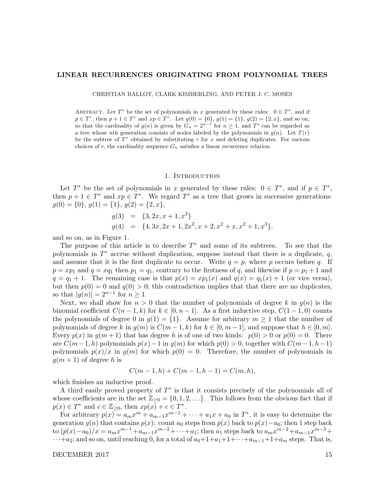### LINEAR RECURRENCES ORIGINATING FROM POLYNOMIAL TREES

CHRISTIAN BALLOT, CLARK KIMBERLING, AND PETER J. C. MOSES

ABSTRACT. Let  $T^*$  be the set of polynomials in x generated by these rules:  $0 \in T^*$ , and if  $p \in T^*$ , then  $p + 1 \in T^*$  and  $xp \in T^*$ . Let  $g(0) = \{0\}$ ,  $g(1) = \{1\}$ ,  $g(2) = \{2, x\}$ , and so on, so that the cardinality of  $g(n)$  is given by  $G_n = 2^{n-1}$  for  $n \geq 1$ , and  $T^*$  can be regarded as a tree whose nth generation consists of nodes labeled by the polynomials in  $q(n)$ . Let  $T(r)$ be the subtree of  $T^*$  obtained by substituting r for x and deleting duplicates. For various choices of r, the cardinality sequence  $G_n$  satisfies a linear recurrence relation.

# 1. INTRODUCTION

Let  $T^*$  be the set of polynomials in x generated by these rules:  $0 \in T^*$ , and if  $p \in T^*$ , then  $p + 1 \in T^*$  and  $xp \in T^*$ . We regard  $T^*$  as a tree that grows in successive generations:  $g(0) = \{0\}, g(1) = \{1\}, g(2) = \{2, x\},\$ 

$$
g(3) = \{3, 2x, x+1, x^2\}
$$
  
\n
$$
g(4) = \{4, 3x, 2x+1, 2x^2, x+2, x^2+x, x^2+1, x^3\},
$$

and so on, as in Figure 1.

The purpose of this article is to describe  $T^*$  and some of its subtrees. To see that the polynomials in  $T^*$  accrue without duplication, suppose instead that there is a duplicate,  $q$ , and assume that it is the first duplicate to occur. Write  $q = p$ , where p occurs before q. If  $p = xp_1$  and  $q = xq_1$  then  $p_1 = q_1$ , contrary to the firstness of q, and likewise if  $p = p_1 + 1$  and  $q = q_1 + 1$ . The remaining case is that  $p(x) = xp_1(x)$  and  $q(x) = q_1(x) + 1$  (or vice versa), but then  $p(0) = 0$  and  $q(0) > 0$ ; this contradiction implies that that there are no duplicates, so that  $|g(n)| = 2^{n-1}$  for  $n \geq 1$ .

Next, we shall show for  $n > 0$  that the number of polynomials of degree k in  $g(n)$  is the binomial coefficient  $C(n-1,k)$  for  $k \in [0,n-1]$ . As a first inductive step,  $C(1-1,0)$  counts the polynomials of degree 0 in  $g(1) = \{1\}$ . Assume for arbitrary  $m \ge 1$  that the number of polynomials of degree k in  $q(m)$  is  $C(m-1,k)$  for  $k \in [0,m-1]$ , and suppose that  $h \in [0,m]$ . Every  $p(x)$  in  $g(m+1)$  that has degree h is of one of two kinds:  $p(0) > 0$  or  $p(0) = 0$ . There are  $C(m-1,h)$  polynomials  $p(x)-1$  in  $q(m)$  for which  $p(0) > 0$ , together with  $C(m-1,h-1)$ polynomials  $p(x)/x$  in  $g(m)$  for which  $p(0) = 0$ . Therefore, the number of polynomials in  $g(m+1)$  of degree h is

$$
C(m-1,h) + C(m-1,h-1) = C(m,h),
$$

which finishes an inductive proof.

A third easily proved property of  $T^*$  is that it consists precisely of the polynomials all of whose coefficients are in the set  $\mathbb{Z}_{\geq 0} = \{0, 1, 2, \ldots\}$ . This follows from the obvious fact that if  $p(x) \in T^*$  and  $c \in \mathbb{Z}_{\geq 0}$ , then  $xp(x) + c \in T^*$ .

For arbitrary  $p(x) = a_m x^m + a_{m-1} x^{m-1} + \cdots + a_1 x + a_0$  in  $T^*$ , it is easy to determine the generation  $g(n)$  that contains  $p(x)$ : count  $a_0$  steps from  $p(x)$  back to  $p(x) - a_0$ ; then 1 step back to  $(p(x) - a_0)/x = a_m x^{m-1} + a_{m-1} x^{m-2} + \cdots + a_1$ ; then  $a_1$  steps back to  $a_m x^{m-2} + a_{m-1} x^{m-3} +$  $\cdots + a_2$ ; and so on, until reaching 0, for a total of  $a_0+1+a_1+1+\cdots+a_{m-1}+1+a_m$  steps. That is,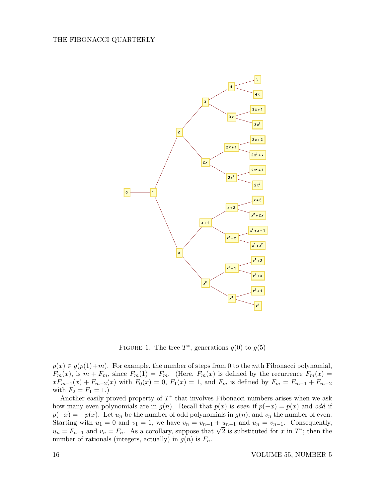

FIGURE 1. The tree  $T^*$ , generations  $g(0)$  to  $g(5)$ 

 $p(x) \in g(p(1)+m)$ . For example, the number of steps from 0 to the mth Fibonacci polynomial,  $F_m(x)$ , is  $m + F_m$ , since  $F_m(1) = F_m$ . (Here,  $F_m(x)$  is defined by the recurrence  $F_m(x) =$  $xF_{m-1}(x) + F_{m-2}(x)$  with  $F_0(x) = 0$ ,  $F_1(x) = 1$ , and  $F_m$  is defined by  $F_m = F_{m-1} + F_{m-2}$ with  $F_2 = F_1 = 1.$ 

Another easily proved property of  $T^*$  that involves Fibonacci numbers arises when we ask how many even polynomials are in  $g(n)$ . Recall that  $p(x)$  is even if  $p(-x) = p(x)$  and odd if  $p(-x) = -p(x)$ . Let  $u_n$  be the number of odd polynomials in  $g(n)$ , and  $v_n$  the number of even. Starting with  $u_1 = 0$  and  $v_1 = 1$ , we have  $v_n = v_{n-1} + u_{n-1}$  and  $u_n = v_{n-1}$ . Consequently, Starting with  $u_1 = 0$  and  $v_1 = 1$ , we have  $v_n = v_{n-1} + u_{n-1}$  and  $u_n = v_{n-1}$ . Consequently,<br>  $u_n = F_{n-1}$  and  $v_n = F_n$ . As a corollary, suppose that  $\sqrt{2}$  is substituted for x in  $T^*$ ; then the number of rationals (integers, actually) in  $g(n)$  is  $F_n$ .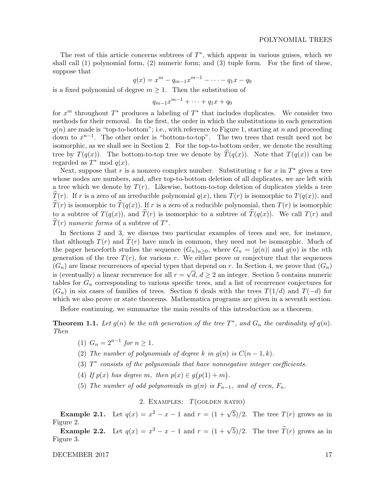The rest of this article concerns subtrees of  $T^*$ , which appear in various guises, which we shall call (1) polynomial form, (2) numeric form; and (3) tuple form. For the first of these, suppose that

$$
q(x) = x^m - q_{m-1}x^{m-1} - \dots - q_1x - q_0
$$

is a fixed polynomial of degree  $m \geq 1$ . Then the substitution of

$$
q_{m-1}x^{m-1}+\cdots+q_1x+q_0
$$

for  $x^m$  throughout  $T^*$  produces a labeling of  $T^*$  that includes duplicates. We consider two methods for their removal. In the first, the order in which the substitutions in each generation  $g(n)$  are made is "top-to-bottom"; i.e., with reference to Figure 1, starting at n and proceeding down to  $x^{n-1}$ . The other order is "bottom-to-top". The two trees that result need not be isomorphic, as we shall see in Section 2. For the top-to-bottom order, we denote the resulting tree by  $T(q(x))$ . The bottom-to-top tree we denote by  $\hat{T}(q(x))$ . Note that  $T(q(x))$  can be regarded as  $T^*$  mod  $q(x)$ .

Next, suppose that r is a nonzero complex number. Substituting r for x in  $T^*$  gives a tree whose nodes are numbers, and, after top-to-bottom deletion of all duplicates, we are left with a tree which we denote by  $T(r)$ . Likewise, bottom-to-top deletion of duplicates yields a tree  $\overline{T}(r)$ . If r is a zero of an irreducible polynomial  $q(x)$ , then  $T(r)$  is isomorphic to  $T(q(x))$ , and  $\widehat{T}(r)$  is isomorphic to  $\widehat{T}(q(x))$ . If r is a zero of a reducible polynomial, then  $T(r)$  is isomorphic to a subtree of  $T(q(x))$ , and  $\widehat{T}(r)$  is isomorphic to a subtree of  $\widehat{T}(q(x))$ . We call  $T(r)$  and  $\widehat{T}(r)$  numeric forms of a subtree of  $T^*$ .

In Sections 2 and 3, we discuss two particular examples of trees and see, for instance, that although  $T(r)$  and  $T(r)$  have much in common, they need not be isomorphic. Much of the paper henceforth studies the sequence  $(G_n)_{n>0}$ , where  $G_n = |g(n)|$  and  $g(n)$  is the nth generation of the tree  $T(r)$ , for various r. We either prove or conjecture that the sequences  $(G_n)$  are linear recurrences of special types that depend on r. In Section 4, we prove that  $(G_n)$ is (eventually) a linear recurrence for all  $r = \sqrt{d}$ ,  $d \geq 2$  an integer. Section 5 contains numeric tables for  $G_n$  corresponding to various specific trees, and a list of recurrence conjectures for  $(G_n)$  in six cases of families of trees. Section 6 deals with the trees  $T(1/d)$  and  $T(-d)$  for which we also prove or state theorems. Mathematica programs are given in a seventh section.

Before continuing, we summarize the main results of this introduction as a theorem.

**Theorem 1.1.** Let  $g(n)$  be the nth generation of the tree  $T^*$ , and  $G_n$  the cardinality of  $g(n)$ . Then

- (1)  $G_n = 2^{n-1}$  for  $n \ge 1$ .
- (2) The number of polynomials of degree k in  $q(n)$  is  $C(n-1, k)$ .
- (3)  $T^*$  consists of the polynomials that have nonnegative integer coefficients.
- (4) If  $p(x)$  has degree m, then  $p(x) \in g(p(1) + m)$ .
- (5) The number of odd polynomials in  $g(n)$  is  $F_{n-1}$ , and of even,  $F_n$ .

2. EXAMPLES:  $T(\text{GOLDEN RATIO})$ 

**Example 2.1.** Let  $q(x) = x^2 - x - 1$  and  $r = (1 + \sqrt{5})/2$ . The tree  $T(r)$  grows as in Figure 2.

Example 2.2. Let  $q(x) = x^2 - x - 1$  and  $r = (1 + \sqrt{5})/2$ . The tree  $\widehat{T}(r)$  grows as in Figure 3.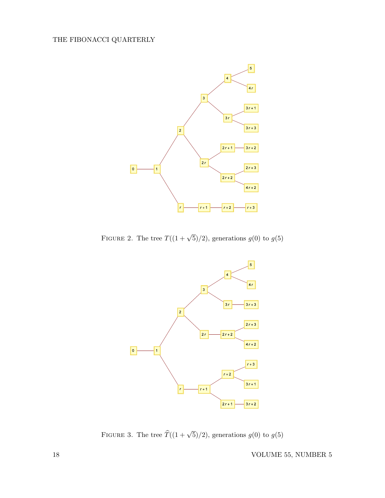

FIGURE 2. The tree  $T((1+\sqrt{5})/2)$ , generations  $g(0)$  to  $g(5)$ 



FIGURE 3. The tree  $\widehat{T}((1 + \sqrt{5})/2)$ , generations  $g(0)$  to  $g(5)$ 

18 VOLUME 55, NUMBER 5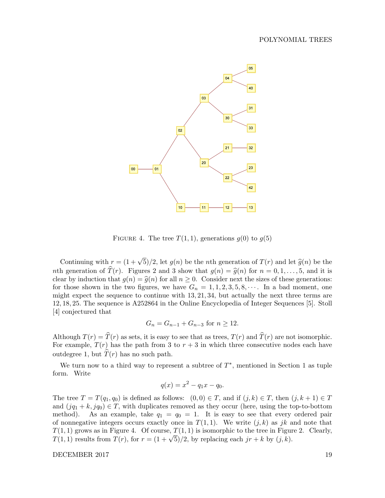

FIGURE 4. The tree  $T(1, 1)$ , generations  $g(0)$  to  $g(5)$ 

Continuing with  $r = (1 + \sqrt{5})/2$ , let  $g(n)$  be the *n*th generation of  $T(r)$  and let  $\hat{g}(n)$  be the nth generation of  $\widehat{T}(r)$ . Figures 2 and 3 show that  $g(n) = \widehat{g}(n)$  for  $n = 0, 1, ..., 5$ , and it is clear by induction that  $g(n) = \hat{g}(n)$  for all  $n \geq 0$ . Consider next the sizes of these generations: for those shown in the two figures, we have  $G_n = 1, 1, 2, 3, 5, 8, \cdots$ . In a bad moment, one might expect the sequence to continue with 13, 21, 34, but actually the next three terms are 12, 18, 25. The sequence is A252864 in the Online Encyclopedia of Integer Sequences [5]. Stoll [4] conjectured that

$$
G_n = G_{n-1} + G_{n-3} \text{ for } n \ge 12.
$$

Although  $T(r) = \hat{T}(r)$  as sets, it is easy to see that as trees,  $T(r)$  and  $\hat{T}(r)$  are not isomorphic. For example,  $T(r)$  has the path from 3 to  $r + 3$  in which three consecutive nodes each have outdegree 1, but  $\hat{T}(r)$  has no such path.

We turn now to a third way to represent a subtree of  $T^*$ , mentioned in Section 1 as tuple form. Write

$$
q(x) = x^2 - q_1 x - q_0.
$$

The tree  $T = T(q_1, q_0)$  is defined as follows:  $(0, 0) \in T$ , and if  $(j, k) \in T$ , then  $(j, k + 1) \in T$ and  $(jq_1 + k, jq_0) \in T$ , with duplicates removed as they occur (here, using the top-to-bottom method). As an example, take  $q_1 = q_0 = 1$ . It is easy to see that every ordered pair of nonnegative integers occurs exactly once in  $T(1, 1)$ . We write  $(j, k)$  as jk and note that  $T(1, 1)$  grows as in Figure 4. Of course,  $T(1, 1)$  is isomorphic to the tree in Figure 2. Clearly,  $T(1, 1)$  grows as in Figure 4. Or course,  $T(1, 1)$  is isomorphic to the tree in Figure  $T(1, 1)$  results from  $T(r)$ , for  $r = (1 + \sqrt{5})/2$ , by replacing each  $jr + k$  by  $(j, k)$ .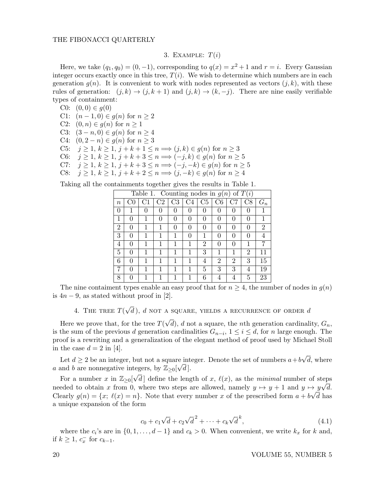# 3. EXAMPLE:  $T(i)$

Here, we take  $(q_1, q_0) = (0, -1)$ , corresponding to  $q(x) = x^2 + 1$  and  $r = i$ . Every Gaussian integer occurs exactly once in this tree,  $T(i)$ . We wish to determine which numbers are in each generation  $g(n)$ . It is convenient to work with nodes represented as vectors  $(j, k)$ , with these rules of generation:  $(j, k) \rightarrow (j, k+1)$  and  $(j, k) \rightarrow (k, -j)$ . There are nine easily verifiable types of containment:

C0:  $(0, 0) \in q(0)$ C1:  $(n-1,0) \in g(n)$  for  $n \geq 2$ 

- C2:  $(0, n) \in g(n)$  for  $n \ge 1$
- C3:  $(3-n,0) \in g(n)$  for  $n \ge 4$
- C4:  $(0, 2 n) \in g(n)$  for  $n \geq 3$
- C5:  $j \ge 1, k \ge 1, j + k + 1 \le n \Longrightarrow (j, k) \in g(n)$  for  $n \ge 3$
- C6:  $j \ge 1, k \ge 1, j + k + 3 \le n \Longrightarrow (-j, k) \in g(n)$  for  $n \ge 5$
- C7:  $j \ge 1, k \ge 1, j + k + 3 \le n \Longrightarrow (-j, -k) \in g(n)$  for  $n \ge 5$
- C8:  $j \ge 1, k \ge 1, j + k + 2 \le n \Longrightarrow (j, -k) \in g(n)$  for  $n \ge 4$

Taking all the containments together gives the results in Table 1.

| Table 1. Counting nodes in $g(n)$ of $T(i)$ |   |                  |                |                     |          |                |                  |                  |          |       |
|---------------------------------------------|---|------------------|----------------|---------------------|----------|----------------|------------------|------------------|----------|-------|
| $\it n$                                     |   |                  | C <sub>2</sub> | $\operatorname{C3}$ | C4       | C <sub>5</sub> | C6               |                  | C8       | $G_n$ |
| 0                                           | 1 | $\left( \right)$ | 0              | 0                   | 0        | 0              | $\left( \right)$ | $\left( \right)$ | 0        |       |
| 1                                           | 0 |                  | 0              | 0                   | $\theta$ |                | 0                |                  | 0        |       |
| $\overline{2}$                              | 0 |                  | 1              | $\mathbf{0}$        | 0        |                | U                |                  | $\theta$ | 2     |
| 3                                           | 0 |                  | 1              | 1                   | 0        |                | $\mathcal{O}$    |                  | 0        |       |
| 4                                           | 0 |                  | 1              |                     | 1        | 2              | 0                |                  | 1        |       |
| 5                                           | 0 |                  |                |                     | 1        | 3              |                  |                  | 2        |       |
| 6                                           | 0 |                  | 1              |                     | 1        | 4              | $\overline{2}$   | 2                | 3        | 15    |
|                                             | 0 |                  | 1              |                     |          | 5              | 3                | 3                | 4        | 19    |
| 8                                           | ∩ |                  |                |                     |          | 6              | 4                |                  | 5        | 23    |

The nine containent types enable an easy proof that for  $n \geq 4$ , the number of nodes in  $g(n)$ is  $4n-9$ , as stated without proof in [2].

4. THE TREE  $T(\sqrt{d}\,),\,d$  not a square, yields a recurrence of order  $d$ 

Here we prove that, for the tree  $T($ √ d), d not a square, the nth generation cardinality,  $G_n$ , is the sum of the previous d generation cardinalities  $G_{n-i}$ ,  $1 \leq i \leq d$ , for n large enough. The proof is a rewriting and a generalization of the elegant method of proof used by Michael Stoll in the case  $d = 2$  in [4]. √

Let  $d \geq 2$  be an integer, but not a square integer. Denote the set of numbers  $a+b$ e integer. Denote the set of numbers  $a+b\sqrt{d}$ , where a and b are nonnegative integers, by  $\mathbb{Z}_{\geq 0}[\sqrt{d}].$ 

For a number x in  $\mathbb{Z}_{\geq 0}[\sqrt{d}]$  define the length of x,  $\ell(x)$ , as the minimal number of steps needed to obtain x from 0, where two steps are allowed, namely  $y \mapsto y + 1$  and  $y \mapsto y\sqrt{d}$ . Clearly  $g(n) = \{x; \ell(x) = n\}$ . Note that every number x of the prescribed form  $a + b\sqrt{d}$  has a unique expansion of the form

$$
c_0 + c_1 \sqrt{d} + c_2 \sqrt{d}^2 + \dots + c_k \sqrt{d}^k,
$$
\n(4.1)

where the  $c_i$ 's are in  $\{0, 1, \ldots, d-1\}$  and  $c_k > 0$ . When convenient, we write  $k_x$  for k and, if  $k \geq 1, c_x^-$  for  $c_{k-1}$ .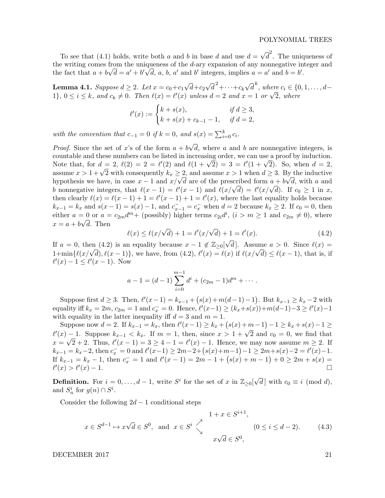To see that (4.1) holds, write both a and b in base d and use  $d =$ √  $\overline{d}^2$ . The uniqueness of the writing comes from the uniqueness of the d-ary expansion of any nonnegative integer and the fact that  $a + b\sqrt{d} = a' + b'\sqrt{d}$ , a, b, a' and b' integers, implies  $a = a'$  and  $b = b'$ .

**Lemma 4.1.** Suppose  $d \geq 2$ . Let  $x = c_0 + c_1$ √  $d+c_2$ √  $\overline{d}^2 + \cdots + c_k$ √  $\overline{d}^k$ , where  $c_i \in \{0,1,\ldots,d-1\}$ **Lemma 4.1.** Suppose  $a \geq 2$ . Let  $x = c_0 + c_1 \vee a + c_2 \vee a + \cdots + c_k \vee a$ , where  $c_i \in \{0, 1\}$ ,  $0 \leq i \leq k$ , and  $c_k \neq 0$ . Then  $\ell(x) = \ell'(x)$  unless  $d = 2$  and  $x = 1$  or  $\sqrt{2}$ , where

$$
\ell'(x) := \begin{cases} k + s(x), & \text{if } d \ge 3, \\ k + s(x) + c_{k-1} - 1, & \text{if } d = 2, \end{cases}
$$

with the convention that  $c_{-1} = 0$  if  $k = 0$ , and  $s(x) = \sum_{i=0}^{k} c_i$ .

*Proof.* Since the set of x's of the form  $a + b$ √  $d$ , where  $a$  and  $b$  are nonnegative integers, is countable and these numbers can be listed in increasing order, we can use a proof by induction. countable and these numbers can be listed in increasing order, we can use a proof by induction.<br>Note that, for  $d = 2$ ,  $\ell(2) = 2 = \ell'(2)$  and  $\ell(1 + \sqrt{2}) = 3 = \ell'(1 + \sqrt{2})$ . So, when  $d = 2$ , Note that, for  $a = 2$ ,  $\ell(2) = 2 = \ell(2)$  and  $\ell(1 + \sqrt{2}) = 3 = \ell(1 + \sqrt{2})$ . So, when  $a = 2$ , assume  $x > 1 + \sqrt{2}$  with consequently  $k_x \ge 2$ , and assume  $x > 1$  when  $d \ge 3$ . By the inductive assume  $x > 1 + \sqrt{2}$  with consequently  $\kappa_x \geq 2$ , and assume  $x > 1$  when  $a \geq 3$ . By the inductive hypothesis we have, in case  $x - 1$  and  $x/\sqrt{d}$  are of the prescribed form  $a + b\sqrt{d}$ , with a and hypothesis we have, in case  $x - 1$  and  $x/\sqrt{a}$  are of the prescribed form  $a + b\sqrt{a}$ , with a and b nonnegative integers, that  $\ell(x - 1) = \ell'(x - 1)$  and  $\ell(x/\sqrt{d}) = \ell'(x/\sqrt{d})$ . If  $c_0 \ge 1$  in x, then clearly  $\ell(x) = \ell(x - 1) + 1 = \ell'(x - 1) + 1 = \ell'(x)$ , where the last equality holds because  $k_{x-1} = k_x$  and  $s(x-1) = s(x) - 1$ , and  $c_{x-1}^- = c_x^-$  when  $d = 2$  because  $k_x \ge 2$ . If  $c_0 = 0$ , then either  $a = 0$  or  $a = c_{2m}d^m$  (possibly) higher terms  $c_{2i}d^i$ ,  $(i > m \ge 1$  and  $c_{2m} \ne 0$ ), where  $x = a + b\sqrt{d}$ . Then

$$
\ell(x) \le \ell(x/\sqrt{d}) + 1 = \ell'(x/\sqrt{d}) + 1 = \ell'(x). \tag{4.2}
$$

If  $a = 0$ , then (4.2) is an equality because  $x - 1 \notin \mathbb{Z}_{\geq 0}[\sqrt{\frac{1}{n}}]$ d. Assume  $a > 0$ . Since  $\ell(x) =$  $u = 0$ , then (4.2) is an equality because  $x - 1 \notin \mathbb{Z}_{\geq 0}[\sqrt{a}]$ . Assume  $a > 0$ . Since  $\ell(x) = 1 + \min{\ell(x/\sqrt{d}), \ell(x - 1)}$ , we have, from (4.2),  $\ell'(x) = \ell(x)$  if  $\ell(x/\sqrt{d}) \leq \ell(x - 1)$ , that is, if  $\ell'(x) - 1 \leq \ell'(x - 1)$ . Now

$$
a-1 = (d-1)\sum_{i=0}^{m-1} d^i + (c_{2m}-1)d^m + \cdots
$$

Suppose first  $d \ge 3$ . Then,  $\ell'(x-1) = k_{x-1} + (s(x) + m(d-1) - 1)$ . But  $k_{x-1} \ge k_x - 2$  with equality iff  $k_x = 2m$ ,  $c_{2m} = 1$  and  $c_x = 0$ . Hence,  $\ell'(x-1) \ge (k_x + s(x)) + m(d-1) - 3 \ge \ell'(x) - 1$ with equality in the latter inequality iff  $d = 3$  and  $m = 1$ .

Suppose now  $d = 2$ . If  $k_{x-1} = k_x$ , then  $\ell'(x-1) \geq k_x + (s(x) + m - 1) - 1 \geq k_x + s(x) - 1 \geq$ Suppose now  $u = 2$ . If  $\kappa_{x-1} - \kappa_x$ , then  $\epsilon(x-1) \leq \kappa_x + (s(x)+m-1) - 1 \leq \kappa_x + s(x)-1 \leq$ <br>  $\ell'(x) - 1$ . Suppose  $k_{x-1} < k_x$ . If  $m = 1$ , then, since  $x > 1 + \sqrt{2}$  and  $c_0 = 0$ , we find that  $x = \sqrt{2} + 2$ . Thus,  $\ell'(x - 1) = 3 \ge 4 - 1 = \ell'(x) - 1$ . Hence, we may now assume  $m \ge 2$ . If  $k_{x-1} = k_x - 2$ , then  $c_x^- = 0$  and  $\ell'(x-1) \ge 2m-2+(s(x)+m-1)-1 \ge 2m+s(x)-2 = \ell'(x)-1$ . If  $k_{x-1} = k_x - 1$ , then  $c_x^- = 1$  and  $\ell'(x-1) = 2m - 1 + (s(x) + m - 1) + 0 \ge 2m + s(x) =$  $\ell'(x) > \ell'$  $(x) - 1.$ 

**Definition.** For  $i = 0, ..., d - 1$ , write  $S^i$  for the set of x in  $\mathbb{Z}_{\geq 0}[\sqrt{\frac{1}{n}}]$ d with  $c_0 \equiv i \pmod{d}$ , and  $S_n^i$  for  $g(n) \cap S^i$ .

Consider the following  $2d - 1$  conditional steps

$$
x \in S^{d-1} \mapsto x\sqrt{d} \in S^0, \text{ and } x \in S^i \searrow \begin{cases} 1 + x \in S^{i+1}, \\ x \sqrt{d} \in S^0, \end{cases} \quad (0 \le i \le d-2). \tag{4.3}
$$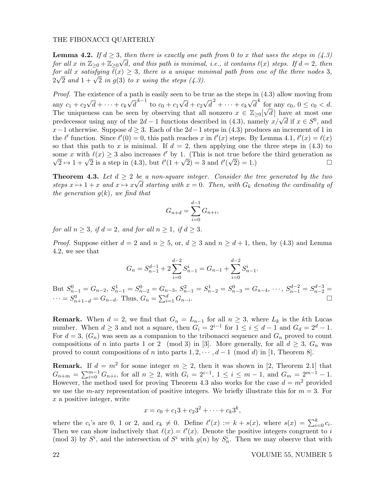**Lemma 4.2.** If  $d \geq 3$ , then there is exactly one path from 0 to x that uses the steps in  $(4.3)$ for all x in  $\mathbb{Z}_{\geq 0} + \mathbb{Z}_{\geq 0} \sqrt{d}$ , and this path is minimal, i.e., it contains  $\ell(x)$  steps. If  $d = 2$ , then for all x satisfying  $\ell(x) \geq 3$ , there is a unique minimal path from one of the three nodes 3, for an x sansfying  $e(x) \geq s$ , there is a unique mit<br> $2\sqrt{2}$  and  $1 + \sqrt{2}$  in g(3) to x using the steps (4.3).

Proof. The existence of a path is easily seen to be true as the steps in  $(4.3)$  allow moving from any  $c_1 + c_2$ √  $d + \cdots + c_k$ √  $\overline{d}^{k-1}$  to  $c_0 + c_1$ √  $d + c_2$ √  $\overline{d}^2 + \cdots + c_k$ √  $\overline{d}^k$  for any  $c_0, 0 \leq c_0 < d$ . The uniqueness can be seen by observing that all nonzero  $x \in \mathbb{Z}_{\geq 0}[\sqrt{d}]$  have at most one The uniqueness can be seen by observing that an honzero  $x \in \mathbb{Z}_{\geq 0}[\sqrt{a}]$  have at most one predecessor using any of the  $2d - 1$  functions described in (4.3), namely  $x/\sqrt{d}$  if  $x \in S^0$ , and  $x-1$  otherwise. Suppose  $d \geq 3$ . Each of the  $2d-1$  steps in (4.3) produces an increment of 1 in the  $\ell'$  function. Since  $\ell'(0) = 0$ , this path reaches x in  $\ell'(x)$  steps. By Lemma 4.1,  $\ell'(x) = \ell(x)$ so that this path to x is minimal. If  $d = 2$ , then applying one the three steps in (4.3) to some x with  $\ell(x) \geq 3$  also increases  $\ell'$  by 1. (This is not true before the third generation as The x with  $\ell(x) \ge 3$  also increases  $\ell$  by 1. (This is not true before the third generation as  $\sqrt{2} \mapsto 1 + \sqrt{2}$  is a step in (4.3), but  $\ell'(1 + \sqrt{2}) = 3$  and  $\ell'(\sqrt{2}) = 1$ .)

**Theorem 4.3.** Let  $d \geq 2$  be a non-square integer. Consider the tree generated by the two steps  $x \mapsto 1 + x$  and  $x \mapsto x\sqrt{d}$  starting with  $x = 0$ . Then, with  $G_k$  denoting the cardinality of the generation  $g(k)$ , we find that

$$
G_{n+d} = \sum_{i=0}^{d-1} G_{n+i},
$$

for all  $n > 3$ , if  $d = 2$ , and for all  $n > 1$ , if  $d > 3$ .

*Proof.* Suppose either  $d = 2$  and  $n \geq 5$ , or,  $d \geq 3$  and  $n \geq d + 1$ , then, by (4.3) and Lemma 4.2, we see that

$$
G_n = S_{n-1}^{d-1} + 2\sum_{i=0}^{d-2} S_{n-1}^i = G_{n-1} + \sum_{i=0}^{d-2} S_{n-1}^i.
$$

But  $S_{n-1}^0 = G_{n-2}, S_{n-1}^1 = S_{n-2}^0 = G_{n-3}, S_{n-1}^2 = S_{n-2}^1 = S_{n-3}^0 = G_{n-4}, \dots, S_{n-1}^{d-2} = S_{n-2}^{d-3} =$  $\cdots = S_{n+1-d}^0 = G_{n-d}$ . Thus,  $G_n = \sum_{i=1}^d G_{n-i}$ .

**Remark.** When  $d = 2$ , we find that  $G_n = L_{n-1}$  for all  $n \geq 3$ , where  $L_k$  is the kth Lucas number. When  $d \geq 3$  and not a square, then  $G_i = 2^{i-1}$  for  $1 \leq i \leq d-1$  and  $G_d = 2^d - 1$ . For  $d = 3$ ,  $(G_n)$  was seen as a companion to the tribonacci sequence and  $G_n$  proved to count compositions of n into parts 1 or 2 (mod 3) in [3]. More generally, for all  $d \geq 3$ ,  $G_n$  was proved to count compositions of n into parts  $1, 2, \dots, d-1 \pmod{d}$  in [1, Theorem 8].

**Remark.** If  $d = m^2$  for some integer  $m \geq 2$ , then it was shown in [2, Theorem 2.1] that  $G_{n+m} = \sum_{i=0}^{m-1} G_{n+i}$ , for all  $n \geq 2$ , with  $G_i = 2^{i-1}$ ,  $1 \leq i \leq m-1$ , and  $G_m = 2^{m-1} - 1$ . However, the method used for proving Theorem 4.3 also works for the case  $d = m^2$  provided we use the *m*-ary representation of positive integers. We briefly illustrate this for  $m = 3$ . For x a positive integer, write

$$
x = c_0 + c_1 3 + c_2 3^2 + \dots + c_k 3^k,
$$

where the  $c_i$ 's are 0, 1 or 2, and  $c_k \neq 0$ . Define  $\ell'(x) := k + s(x)$ , where  $s(x) = \sum_{i=0}^k c_i$ . Then we can show inductively that  $\ell(x) = \ell'(x)$ . Denote the positive integers congruent to i (mod 3) by  $S^i$ , and the intersection of  $S^i$  with  $g(n)$  by  $S_n^i$ . Then we may observe that with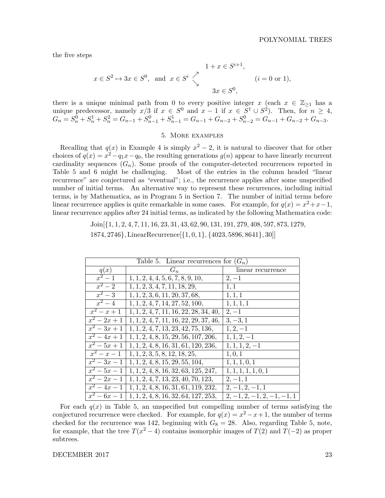the five steps

$$
x \in S^2 \mapsto 3x \in S^0, \text{ and } x \in S^i \searrow \begin{cases} 1 + x \in S^{i+1}, \\ 3x \in S^0, \end{cases} \quad (i = 0 \text{ or } 1),
$$

there is a unique minimal path from 0 to every positive integer x (each  $x \in \mathbb{Z}_{\geq 1}$  has a unique predecessor, namely  $x/3$  if  $x \in S^0$  and  $x-1$  if  $x \in S^1 \cup S^2$ ). Then, for  $n \geq 4$ ,  $G_n = S_n^0 + S_n^1 + S_n^2 = G_{n-1} + S_{n-1}^0 + S_{n-1}^1 = G_{n-1} + G_{n-2} + S_{n-2}^0 = G_{n-1} + G_{n-2} + G_{n-3}$ 

# 5. More examples

Recalling that  $q(x)$  in Example 4 is simply  $x^2 - 2$ , it is natural to discover that for other choices of  $q(x) = x^2 - q_1 x - q_0$ , the resulting generations  $q(n)$  appear to have linearly recurrent cardinality sequences  $(G_n)$ . Some proofs of the computer-detected recurrences reported in Table 5 and 6 might be challenging. Most of the entries in the column headed "linear recurrence" are conjectured as "eventual"; i.e., the recurrence applies after some unspecified number of initial terms. An alternative way to represent these recurrences, including initial terms, is by Mathematica, as in Program 5 in Section 7. The number of initial terms before linear recurrence applies is quite remarkable in some cases. For example, for  $q(x) = x^2 + x - 1$ , linear recurrence applies after 24 initial terms, as indicated by the following Mathematica code:

> Join[{1, 1, 2, 4, 7, 11, 16, 23, 31, 43, 62, 90, 131, 191, 279, 408, 597, 873, 1279, 1874, 2746}, LinearRecurrence[{1, 0, 1}, {4023, 5896, 8641}, 30]]

| Table 5. Linear recurrences for $(G_n)$ |                                          |                              |  |  |
|-----------------------------------------|------------------------------------------|------------------------------|--|--|
| q(x)                                    | $G_n$                                    | linear recurrence            |  |  |
| $\overline{x^2-1}$                      | 1, 1, 2, 4, 4, 5, 6, 7, 8, 9, 10,        | $2, -1$                      |  |  |
| $x^2-2$                                 | 1, 1, 2, 3, 4, 7, 11, 18, 29,            | 1,1                          |  |  |
| $x^2-3$                                 | 1, 1, 2, 3, 6, 11, 20, 37, 68,           | 1, 1, 1                      |  |  |
| $x^2-4$                                 | 1, 1, 2, 4, 7, 14, 27, 52, 100,          | 1, 1, 1, 1                   |  |  |
| $x^2 - x + 1$                           | $1, 1, 2, 4, 7, 11, 16, 22, 28, 34, 40,$ | $2, -1$                      |  |  |
| $x^2-2x+1$                              | $1, 1, 2, 4, 7, 11, 16, 22, 29, 37, 46,$ | $3, -3, 1$                   |  |  |
| $x^2-3x+1$                              | 1, 1, 2, 4, 7, 13, 23, 42, 75, 136,      | $1, 2, -1$                   |  |  |
| $\overline{x^2-4x+1}$                   | 1, 1, 2, 4, 8, 15, 29, 56, 107, 206,     | $1, 1, 2, -1$                |  |  |
| $\overline{x^2-5x+1}$                   | 1, 1, 2, 4, 8, 16, 31, 61, 120, 236,     | $1, 1, 1, 2, -1$             |  |  |
| $x^2 - x - 1$                           | 1, 1, 2, 3, 5, 8, 12, 18, 25,            | 1, 0, 1                      |  |  |
| $x^2-3x-1$                              | 1, 1, 2, 4, 8, 15, 29, 55, 104,          | 1, 1, 1, 0, 1                |  |  |
| $x^2-5x-1$                              | 1, 1, 2, 4, 8, 16, 32, 63, 125, 247,     | 1, 1, 1, 1, 1, 0, 1          |  |  |
| $x^2-2x-1$                              | 1, 1, 2, 4, 7, 13, 23, 40, 70, 123,      | $2, -1, 1$                   |  |  |
| $x^2-4x-1$                              | 1, 1, 2, 4, 8, 16, 31, 61, 119, 232,     | $2, -1, 2, -1, 1$            |  |  |
| $x^2-6x-1$                              | 1, 1, 2, 4, 8, 16, 32, 64, 127, 253,     | $2, -1, 2, -1, 2, -1, -1, 1$ |  |  |

For each  $q(x)$  in Table 5, an unspecified but compelling number of terms satisfying the conjectured recurrence were checked. For example, for  $q(x) = x^2 - x + 1$ , the number of terms checked for the recurrence was 142, beginning with  $G_8 = 28$ . Also, regarding Table 5, note, for example, that the tree  $T(x^2-4)$  contains isomorphic images of  $T(2)$  and  $T(-2)$  as proper subtrees.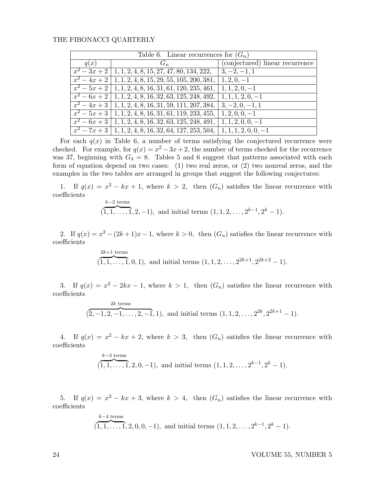| Table 6. Linear recurrences for $(G_n)$ |                                                                        |                                 |  |  |
|-----------------------------------------|------------------------------------------------------------------------|---------------------------------|--|--|
| q(x)                                    | $G_n$                                                                  | (conjectured) linear recurrence |  |  |
|                                         | $x^2-3x+2$   1, 1, 2, 4, 8, 15, 27, 47, 80, 134, 222,   3, -2, -1, 1   |                                 |  |  |
|                                         | $x^2-4x+2$   1, 1, 2, 4, 8, 15, 29, 55, 105, 200, 381,                 | $ 1, 2, 0, -1$                  |  |  |
|                                         | $x^2-5x+2$ 1, 1, 2, 4, 8, 16, 31, 61, 120, 235, 461, 1, 1, 2, 0, -1    |                                 |  |  |
|                                         | $x^2-6x+2$ 1, 1, 2, 4, 8, 16, 32, 63, 125, 248, 492, 1, 1, 1, 2, 0, -1 |                                 |  |  |
|                                         | $\overline{x^2-4x+3}$ 1, 1, 2, 4, 8, 16, 31, 59, 111, 207, 384,        | $3, -2, 0, -1, 1$               |  |  |
|                                         | $x^2-5x+3$   1, 1, 2, 4, 8, 16, 31, 61, 119, 233, 455,                 | $ 1, 2, 0, 0, -1$               |  |  |
|                                         | $x^2-6x+3$ 1, 1, 2, 4, 8, 16, 32, 63, 125, 248, 491, 1, 1, 2, 0, 0, -1 |                                 |  |  |
|                                         | $x^2-7x+3$   1, 1, 2, 4, 8, 16, 32, 64, 127, 253, 504,                 | $ 1, 1, 1, 2, 0, 0, -1$         |  |  |

For each  $q(x)$  in Table 6, a number of terms satisfying the conjectured recurrence were checked. For example, for  $q(x) = x^2 - 3x + 2$ , the number of terms checked for the recurrence was 37, beginning with  $G_4 = 8$ . Tables 5 and 6 suggest that patterns associated with each form of equation depend on two cases: (1) two real zeros, or (2) two nonreal zeros, and the examples in the two tables are arranged in groups that suggest the following conjectures:

1. If  $q(x) = x^2 - kx + 1$ , where  $k > 2$ , then  $(G_n)$  satisfies the linear recurrence with coefficients  $k=2$  terms

$$
(1, 1, \ldots, 1, 2, -1)
$$
, and initial terms  $(1, 1, 2, \ldots, 2^{k-1}, 2^k - 1)$ .

2. If  $q(x) = x^2 - (2k+1)x - 1$ , where  $k > 0$ , then  $(G_n)$  satisfies the linear recurrence with coefficients

$$
\overbrace{(1,1,\ldots,1}^{2k+1 \text{ terms}},0,1), \text{ and initial terms } (1,1,2,\ldots,2^{2k+1},2^{2k+2}-1).
$$

3. If  $q(x) = x^2 - 2kx - 1$ , where  $k > 1$ , then  $(G_n)$  satisfies the linear recurrence with coefficients

$$
(2, -1, 2, -1, \ldots, 2, -1, 1), \text{ and initial terms } (1, 1, 2, \ldots, 2^{2k}, 2^{2k+1} - 1).
$$

4. If  $q(x) = x^2 - kx + 2$ , where  $k > 3$ , then  $(G_n)$  satisfies the linear recurrence with coefficients

$$
(\overbrace{1,1,\ldots,1}^{k-3 \text{ terms}},2,0,-1), \text{ and initial terms } (1,1,2,\ldots,2^{k-1},2^k-1).
$$

5. If  $q(x) = x^2 - kx + 3$ , where  $k > 4$ , then  $(G_n)$  satisfies the linear recurrence with coefficients

$$
(\overbrace{1,1,\ldots,1}^{k-4 \text{ terms}},2,0,0,-1), \text{ and initial terms } (1,1,2,\ldots,2^{k-1},2^k-1).
$$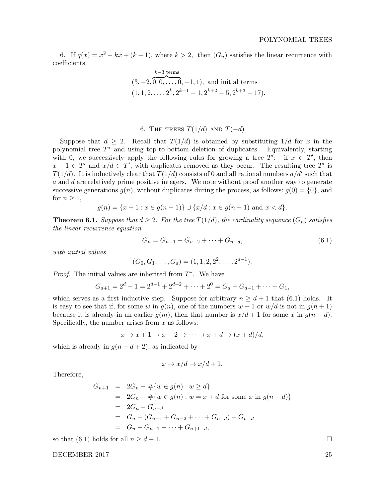6. If  $q(x) = x^2 - kx + (k-1)$ , where  $k > 2$ , then  $(G_n)$  satisfies the linear recurrence with coefficients

$$
(3, -2, \overbrace{0, 0, \ldots, 0}^{k-3 \text{ terms}}, -1, 1), \text{ and initial terms}
$$
  

$$
(1, 1, 2, \ldots, 2^k, 2^{k+1} - 1, 2^{k+2} - 5, 2^{k+3} - 17).
$$

# 6. THE TREES  $T(1/d)$  and  $T(-d)$

Suppose that  $d \geq 2$ . Recall that  $T(1/d)$  is obtained by substituting  $1/d$  for x in the polynomial tree  $T^*$  and using top-to-bottom deletion of duplicates. Equivalently, starting with 0, we successively apply the following rules for growing a tree  $T'$ : if  $x \in T'$ , then  $x + 1 \in T'$  and  $x/d \in T'$ , with duplicates removed as they occur. The resulting tree T' is  $T(1/d)$ . It is inductively clear that  $T(1/d)$  consists of 0 and all rational numbers  $a/d^i$  such that a and d are relatively prime positive integers. We note without proof another way to generate successive generations  $g(n)$ , without duplicates during the process, as follows:  $g(0) = \{0\}$ , and for  $n \geq 1$ ,

$$
g(n) = \{x+1 : x \in g(n-1)\} \cup \{x/d : x \in g(n-1) \text{ and } x < d\}.
$$

**Theorem 6.1.** Suppose that  $d \geq 2$ . For the tree  $T(1/d)$ , the cardinality sequence  $(G_n)$  satisfies the linear recurrence equation

$$
G_n = G_{n-1} + G_{n-2} + \dots + G_{n-d},\tag{6.1}
$$

with initial values

$$
(G_0, G_1, \ldots, G_d) = (1, 1, 2, 2^2, \ldots, 2^{d-1}).
$$

*Proof.* The initial values are inherited from  $T^*$ . We have

$$
G_{d+1} = 2d - 1 = 2d-1 + 2d-2 + \dots + 20 = G_d + G_{d-1} + \dots + G_1,
$$

which serves as a first inductive step. Suppose for arbitrary  $n \geq d+1$  that (6.1) holds. It is easy to see that if, for some w in  $g(n)$ , one of the numbers  $w + 1$  or  $w/d$  is not in  $g(n + 1)$ because it is already in an earlier  $g(m)$ , then that number is  $x/d + 1$  for some x in  $g(n - d)$ . Specifically, the number arises from  $x$  as follows:

$$
x \to x + 1 \to x + 2 \to \cdots \to x + d \to (x + d)/d,
$$

which is already in  $g(n - d + 2)$ , as indicated by

$$
x \to x/d \to x/d + 1.
$$

Therefore,

$$
G_{n+1} = 2G_n - #\{w \in g(n) : w \ge d\}
$$
  
= 2G\_n - #\{w \in g(n) : w = x + d \text{ for some } x \text{ in } g(n - d)\}  
= 2G\_n - G\_{n-d}  
= G\_n + (G\_{n-1} + G\_{n-2} + \dots + G\_{n-d}) - G\_{n-d}  
= G\_n + G\_{n-1} + \dots + G\_{n+1-d},

so that (6.1) holds for all  $n \geq d+1$ .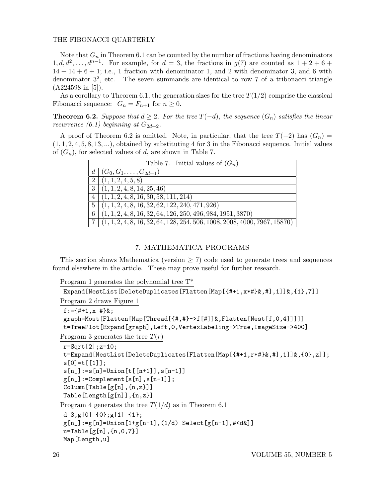Note that  $G_n$  in Theorem 6.1 can be counted by the number of fractions having denominators  $1, d, d^2, \ldots, d^{n-1}$ . For example, for  $d = 3$ , the fractions in  $g(7)$  are counted as  $1 + 2 + 6 +$  $14 + 14 + 6 + 1$ ; i.e., 1 fraction with denominator 1, and 2 with denominator 3, and 6 with denominator  $3^2$ , etc. The seven summands are identical to row 7 of a tribonacci triangle (A224598 in [5]).

As a corollary to Theorem 6.1, the generation sizes for the tree  $T(1/2)$  comprise the classical Fibonacci sequence:  $G_n = F_{n+1}$  for  $n \geq 0$ .

**Theorem 6.2.** Suppose that  $d \geq 2$ . For the tree  $T(-d)$ , the sequence  $(G_n)$  satisfies the linear recurrence (6.1) beginning at  $G_{2d+2}$ .

A proof of Theorem 6.2 is omitted. Note, in particular, that the tree  $T(-2)$  has  $(G_n)$  =  $(1, 1, 2, 4, 5, 8, 13, \ldots)$ , obtained by substituting 4 for 3 in the Fibonacci sequence. Initial values of  $(G_n)$ , for selected values of d, are shown in Table 7.

|                | Table 7. Initial values of $(G_n)$                                          |
|----------------|-----------------------------------------------------------------------------|
|                | $d   (G_0, G_1, \ldots, G_{2d+1})$                                          |
| $\overline{2}$ | (1, 1, 2, 4, 5, 8)                                                          |
| 3 <sup>1</sup> | (1, 1, 2, 4, 8, 14, 25, 46)                                                 |
| $\overline{4}$ | $(1, 1, 2, 4, 8, 16, \overline{30, 58, 111, 214})$                          |
| 5              | $(1, 1, 2, 4, 8, 16, 32, 62, 122, 240, 471, 926)$                           |
| 6              | $(1, 1, 2, 4, 8, 16, 32, 64, 126, 250, 496, 984, 1951, 3870)$               |
|                | $(1, 1, 2, 4, 8, 16, 32, 64, 128, 254, 506, 1008, 2008, 4000, 7967, 15870)$ |

# 7. MATHEMATICA PROGRAMS

This section shows Mathematica (version  $> 7$ ) code used to generate trees and sequences found elsewhere in the article. These may prove useful for further research.

```
Program 1 generates the polynomial tree T*
```

```
Expand[NestList[DeleteDuplicates[Flatten[Map[{#+1,x*#}&,#],1]]&,{1},7]]
Program 2 draws Figure 1
f:=\{ #+1, x #\}&;
graph=Most[Flatten[Map[Thread[{#,#}->f[#]]&,Flatten[Nest[f,0,4]]]]]
t=TreePlot[Expand[graph],Left,0,VertexLabeling->True,ImageSize->400]
Program 3 generates the tree T(r)r=Sqrt[2];z=10;
t=Expand[NestList[DeleteDuplicates[Flatten[Map[{#+1,r*#}&,#],1]]&,{0},z]];
s[0]=t[[1]];
s[n] := s[n] =Union[t[[n+1]], s[n-1]]g[n]:=Complement[s[n],s[n-1]];
Column[Table[g[n],{n,z}]]
Table[Length[g[n]],{n,z}]
Program 4 generates the tree T(1/d) as in Theorem 6.1
d=3;g[0]=\{0\};g[1]=\{1\};g[n] := g[n] =Union[1 + g[n-1], (1/d) Select[g[n-1], #< d\&]u = Table[g[n], \{n, 0, 7\}]Map[Length,u]
```